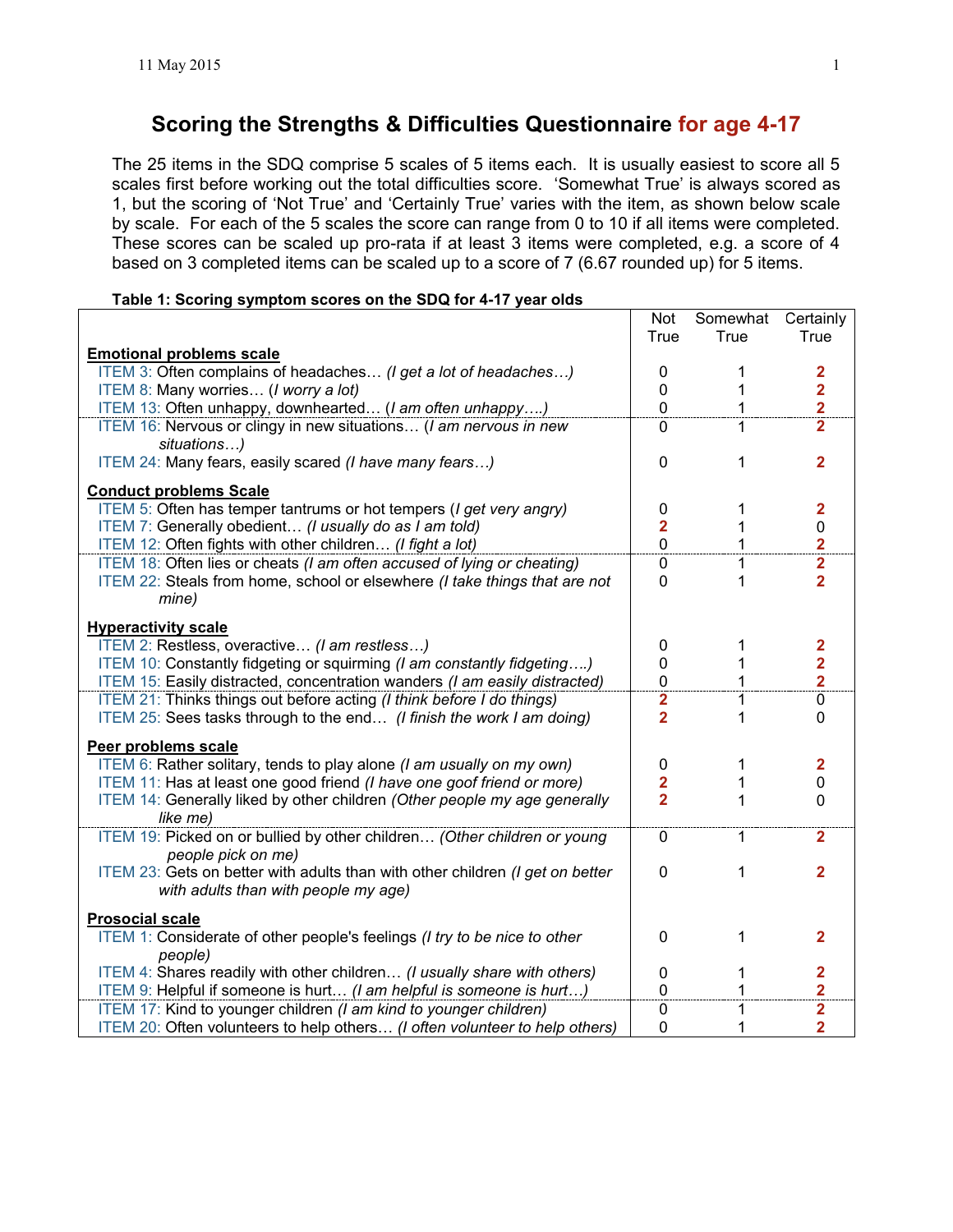# **Scoring the Strengths & Difficulties Questionnaire for age 4-17**

 The 25 items in the SDQ comprise 5 scales of 5 items each. It is usually easiest to score all 5 scales first before working out the total difficulties score. 'Somewhat True' is always scored as 1, but the scoring of 'Not True' and 'Certainly True' varies with the item, as shown below scale by scale. For each of the 5 scales the score can range from 0 to 10 if all items were completed. These scores can be scaled up pro-rata if at least 3 items were completed, e.g. a score of 4 based on 3 completed items can be scaled up to a score of 7 (6.67 rounded up) for 5 items.

### **Table 1: Scoring symptom scores on the SDQ for 4-17 year olds**

|                                                                               | Not<br>True    | Somewhat<br>True | Certainly<br>True       |
|-------------------------------------------------------------------------------|----------------|------------------|-------------------------|
| <b>Emotional problems scale</b>                                               |                |                  |                         |
| ITEM 3: Often complains of headaches (I get a lot of headaches)               | 0              | 1                | 2                       |
| ITEM 8: Many worries (I worry a lot)                                          | 0              | 1                | $\overline{2}$          |
| ITEM 13: Often unhappy, downhearted (I am often unhappy)                      | $\overline{0}$ | 1                | $\overline{\mathbf{2}}$ |
| ITEM 16: Nervous or clingy in new situations (I am nervous in new             | $\Omega$       | 1                | $\overline{2}$          |
| situations)                                                                   |                |                  |                         |
| ITEM 24: Many fears, easily scared (I have many fears)                        | $\mathbf 0$    | 1                | $\overline{2}$          |
|                                                                               |                |                  |                         |
| <b>Conduct problems Scale</b>                                                 |                |                  |                         |
| ITEM 5: Often has temper tantrums or hot tempers ( <i>I get very angry</i> )  | 0              | 1                | 2                       |
| ITEM 7: Generally obedient (I usually do as I am told)                        | $\overline{2}$ | 1                | 0                       |
| ITEM 12: Often fights with other children (I fight a lot)                     | $\mathbf 0$    | 1                | $\overline{\mathbf{2}}$ |
| ITEM 18: Often lies or cheats (I am often accused of lying or cheating)       | $\mathbf 0$    | 1                | $\overline{2}$          |
| ITEM 22: Steals from home, school or elsewhere (I take things that are not    | $\mathbf 0$    | 1                | $\overline{2}$          |
| mine)                                                                         |                |                  |                         |
| <b>Hyperactivity scale</b>                                                    |                |                  |                         |
| ITEM 2: Restless, overactive (I am restless)                                  | 0              | 1                | $\overline{\mathbf{2}}$ |
| ITEM 10: Constantly fidgeting or squirming (I am constantly fidgeting)        | 0              |                  |                         |
| ITEM 15: Easily distracted, concentration wanders (I am easily distracted)    | 0              | 1                | $\frac{2}{2}$           |
| ITEM 21: Thinks things out before acting (I think before I do things)         | $\overline{2}$ | 1                | 0                       |
| ITEM 25: Sees tasks through to the end (I finish the work I am doing)         | $\overline{2}$ | 1                | 0                       |
|                                                                               |                |                  |                         |
| Peer problems scale                                                           |                |                  |                         |
| ITEM 6: Rather solitary, tends to play alone (I am usually on my own)         | $\mathbf 0$    | 1                | $\overline{\mathbf{2}}$ |
| ITEM 11: Has at least one good friend (I have one goof friend or more)        | $\mathbf{2}$   | 1                | 0                       |
| ITEM 14: Generally liked by other children (Other people my age generally     | $\overline{2}$ | 1                | $\mathbf 0$             |
| like me)                                                                      |                |                  |                         |
| ITEM 19: Picked on or bullied by other children (Other children or young      | 0              | 1.               | $\mathbf{2}$            |
| people pick on me)                                                            |                |                  |                         |
| ITEM 23: Gets on better with adults than with other children (I get on better | $\mathbf 0$    | 1                | $\overline{2}$          |
| with adults than with people my age)                                          |                |                  |                         |
| <b>Prosocial scale</b>                                                        |                |                  |                         |
| ITEM 1: Considerate of other people's feelings (I try to be nice to other     | $\mathbf 0$    | 1                | $\mathbf{2}$            |
| people)                                                                       |                |                  |                         |
| ITEM 4: Shares readily with other children (I usually share with others)      | 0              | 1                | 2                       |
| ITEM 9: Helpful if someone is hurt (I am helpful is someone is hurt)          | 0              | 1                | $\overline{\mathbf{2}}$ |
| ITEM 17: Kind to younger children (I am kind to younger children)             | 0              | 1                | $\overline{\mathbf{2}}$ |
| ITEM 20: Often volunteers to help others (I often volunteer to help others)   | $\mathbf 0$    | 1                | $\overline{\mathbf{2}}$ |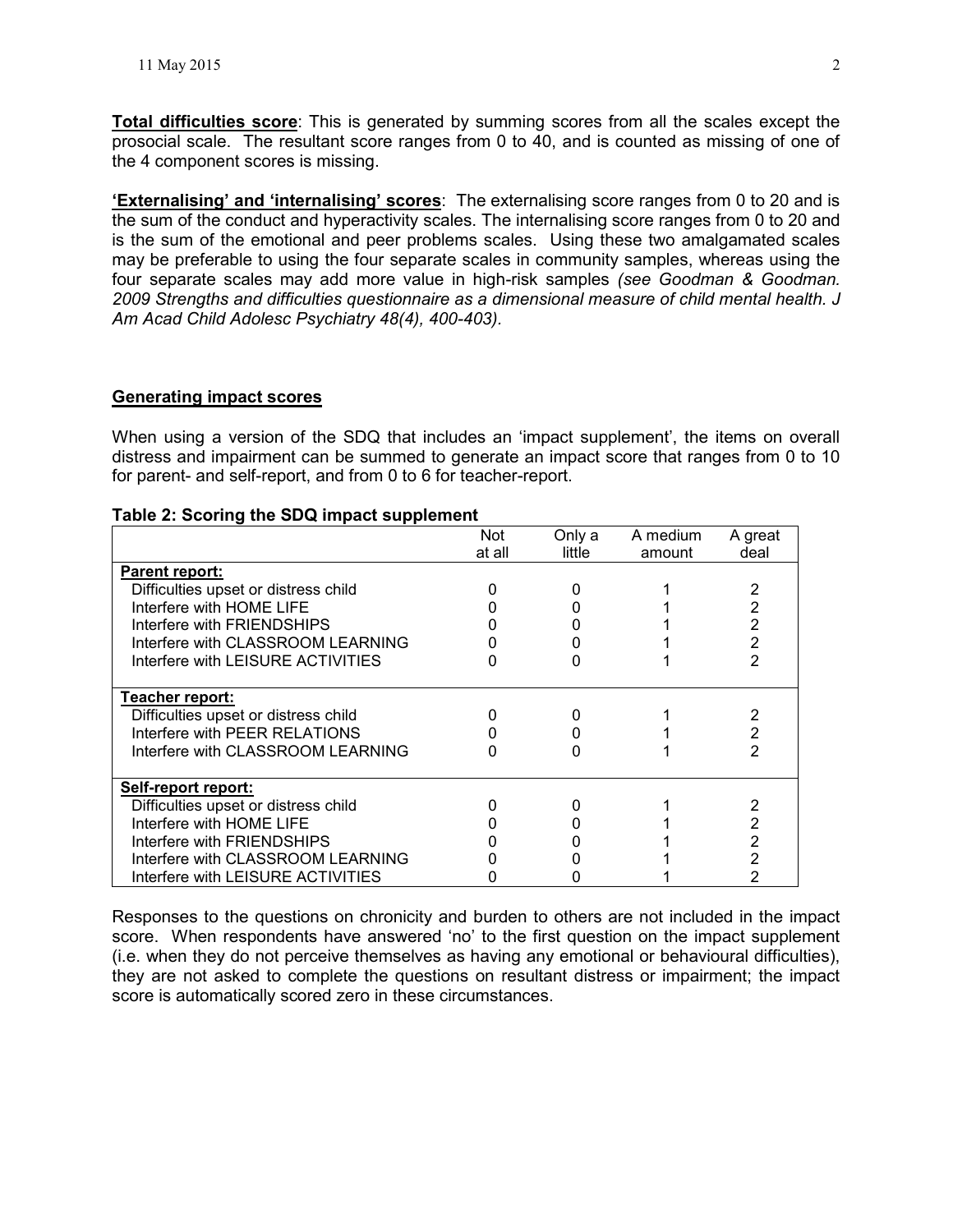**Total difficulties score**: This is generated by summing scores from all the scales except the prosocial scale. The resultant score ranges from 0 to 40, and is counted as missing of one of the 4 component scores is missing.

**'Externalising' and 'internalising' scores**: The externalising score ranges from 0 to 20 and is the sum of the conduct and hyperactivity scales. The internalising score ranges from 0 to 20 and is the sum of the emotional and peer problems scales. Using these two amalgamated scales may be preferable to using the four separate scales in community samples, whereas using the four separate scales may add more value in high-risk samples *(see Goodman & Goodman. 2009 Strengths and difficulties questionnaire as a dimensional measure of child mental health. J Am Acad Child Adolesc Psychiatry 48(4), 400-403).* 

# **Generating impact scores**

When using a version of the SDQ that includes an 'impact supplement', the items on overall distress and impairment can be summed to generate an impact score that ranges from 0 to 10 for parent- and self-report, and from 0 to 6 for teacher-report.

|  |  |  |  |  |  |  | Table 2: Scoring the SDQ impact supplement |
|--|--|--|--|--|--|--|--------------------------------------------|
|--|--|--|--|--|--|--|--------------------------------------------|

|                                      | Not<br>at all | Only a<br>little | A medium<br>amount | A great<br>deal |
|--------------------------------------|---------------|------------------|--------------------|-----------------|
| <b>Parent report:</b>                |               |                  |                    |                 |
| Difficulties upset or distress child |               |                  |                    |                 |
| Interfere with HOME LIFE             |               |                  |                    | 2               |
| Interfere with FRIENDSHIPS           |               |                  |                    | 2               |
| Interfere with CLASSROOM LEARNING    |               |                  |                    | $\overline{2}$  |
| Interfere with LEISURE ACTIVITIES    |               |                  |                    | 2               |
| Teacher report:                      |               |                  |                    |                 |
| Difficulties upset or distress child |               |                  |                    |                 |
| Interfere with PEER RELATIONS        |               |                  |                    | 2               |
| Interfere with CLASSROOM LEARNING    |               |                  |                    | 2               |
| Self-report report:                  |               |                  |                    |                 |
| Difficulties upset or distress child |               |                  |                    |                 |
| Interfere with HOME LIFE             |               |                  |                    |                 |
| Interfere with FRIENDSHIPS           |               |                  |                    |                 |
| Interfere with CLASSROOM LEARNING    |               |                  |                    |                 |
| Interfere with LEISURE ACTIVITIES    |               |                  |                    |                 |

Responses to the questions on chronicity and burden to others are not included in the impact score. When respondents have answered 'no' to the first question on the impact supplement (i.e. when they do not perceive themselves as having any emotional or behavioural difficulties), they are not asked to complete the questions on resultant distress or impairment; the impact score is automatically scored zero in these circumstances.